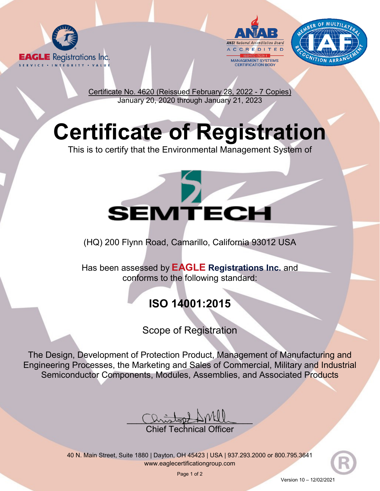





Certificate No. 4620 (Reissued February 28, 2022 - 7 Copies) January 20, 2020 through January 21, 2023

## **Certificate of Registration**

This is to certify that the Environmental Management System of

## **SEMTE**

(HQ) 200 Flynn Road, Camarillo, California 93012 USA

Has been assessed by **EAGLE Registrations Inc.** and conforms to the following standard:

## **ISO 14001:2015**

Scope of Registration

The Design, Development of Protection Product, Management of Manufacturing and Engineering Processes, the Marketing and Sales of Commercial, Military and Industrial Semiconductor Components, Modules, Assemblies, and Associated Products

 $\bigcup$   $\bigcup$   $\bigcup$   $\bigcup$   $\bigcup$   $\bigcup$   $\bigcup$   $\bigcup$ 

Chief Technical Officer

40 N. Main Street, Suite 1880 | Dayton, OH 45423 | USA | 937.293.2000 or 800.795.3641 [www.eaglecertificationgroup.com](http://www.eaglecertificationgroup.com/)

Page 1 of 2

Version 10 – 12/02/2021